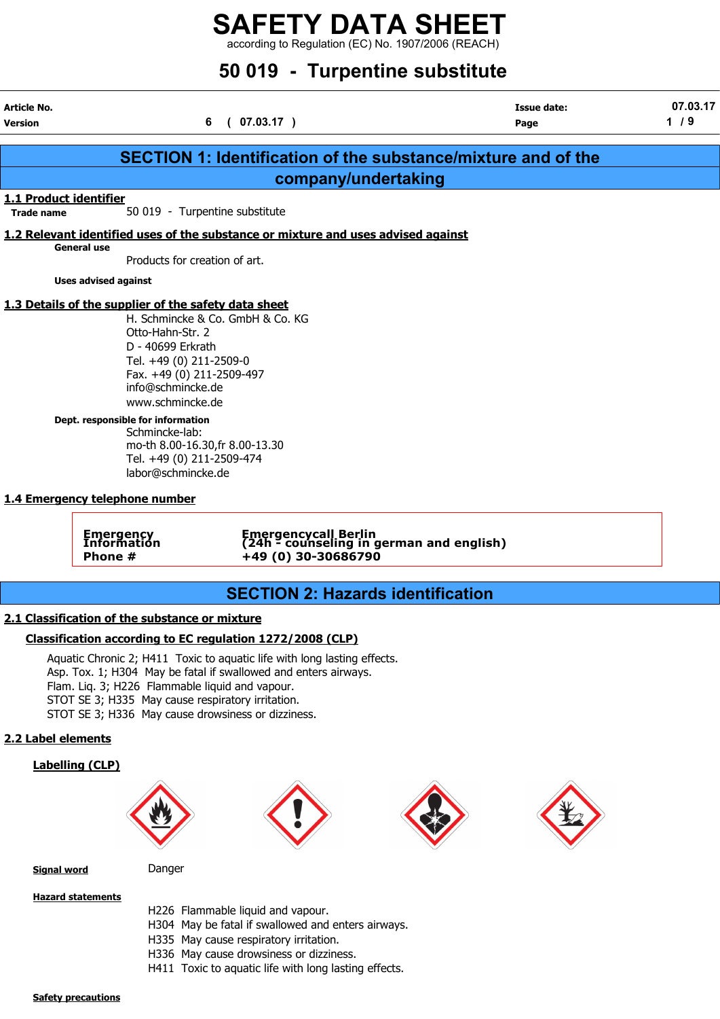## SAFETY DATA SHEET  $\frac{22}{12}$  according to Regulation (EC) No. 1907/2006 (REACH)

## 50 019 - Turpentine substitute

| Article No.<br><b>Version</b>               |                                                                                                                                                                                                | (07.03.17)<br>6                                                                                                                             | <b>Issue date:</b><br>Page | 07.03.17<br>$1/9$ |
|---------------------------------------------|------------------------------------------------------------------------------------------------------------------------------------------------------------------------------------------------|---------------------------------------------------------------------------------------------------------------------------------------------|----------------------------|-------------------|
|                                             |                                                                                                                                                                                                | <b>SECTION 1: Identification of the substance/mixture and of the</b>                                                                        |                            |                   |
|                                             |                                                                                                                                                                                                | company/undertaking                                                                                                                         |                            |                   |
| 1.1 Product identifier<br><b>Trade name</b> |                                                                                                                                                                                                | 50 019 - Turpentine substitute                                                                                                              |                            |                   |
|                                             |                                                                                                                                                                                                | 1.2 Relevant identified uses of the substance or mixture and uses advised against                                                           |                            |                   |
| <b>General use</b>                          | Products for creation of art.                                                                                                                                                                  |                                                                                                                                             |                            |                   |
|                                             | <b>Uses advised against</b>                                                                                                                                                                    |                                                                                                                                             |                            |                   |
|                                             |                                                                                                                                                                                                |                                                                                                                                             |                            |                   |
|                                             | 1.3 Details of the supplier of the safety data sheet<br>Otto-Hahn-Str. 2<br>D - 40699 Erkrath<br>Tel. +49 (0) 211-2509-0<br>Fax. +49 (0) 211-2509-497<br>info@schmincke.de<br>www.schmincke.de | H. Schmincke & Co. GmbH & Co. KG                                                                                                            |                            |                   |
|                                             | Dept. responsible for information<br>Schmincke-lab:<br>Tel. +49 (0) 211-2509-474<br>labor@schmincke.de                                                                                         | mo-th 8.00-16.30, fr 8.00-13.30                                                                                                             |                            |                   |
|                                             | 1.4 Emergency telephone number                                                                                                                                                                 |                                                                                                                                             |                            |                   |
|                                             | Emergency<br>Information<br>Phone #                                                                                                                                                            | Emergencycall Berlin<br>(24h - counseling in german and english)<br>+49 (0) 30-30686790                                                     |                            |                   |
|                                             |                                                                                                                                                                                                | <b>SECTION 2: Hazards identification</b>                                                                                                    |                            |                   |
|                                             |                                                                                                                                                                                                |                                                                                                                                             |                            |                   |
|                                             | 2.1 Classification of the substance or mixture                                                                                                                                                 | Classification according to EC regulation 1272/2008 (CLP)                                                                                   |                            |                   |
|                                             | Flam. Lig. 3; H226 Flammable liquid and vapour.<br>STOT SE 3; H335 May cause respiratory irritation.<br>STOT SE 3; H336 May cause drowsiness or dizziness.                                     | Aquatic Chronic 2; H411 Toxic to aquatic life with long lasting effects.<br>Asp. Tox. 1; H304 May be fatal if swallowed and enters airways. |                            |                   |
| 2.2 Label elements                          |                                                                                                                                                                                                |                                                                                                                                             |                            |                   |
| <b>Labelling (CLP)</b>                      |                                                                                                                                                                                                |                                                                                                                                             |                            |                   |
| <b>Signal word</b>                          | Danger                                                                                                                                                                                         |                                                                                                                                             |                            |                   |

**Hazard statements** 

H226 Flammable liquid and vapour.

H304 May be fatal if swallowed and enters airways.

H335 May cause respiratory irritation.

H336 May cause drowsiness or dizziness.

H411 Toxic to aquatic life with long lasting effects.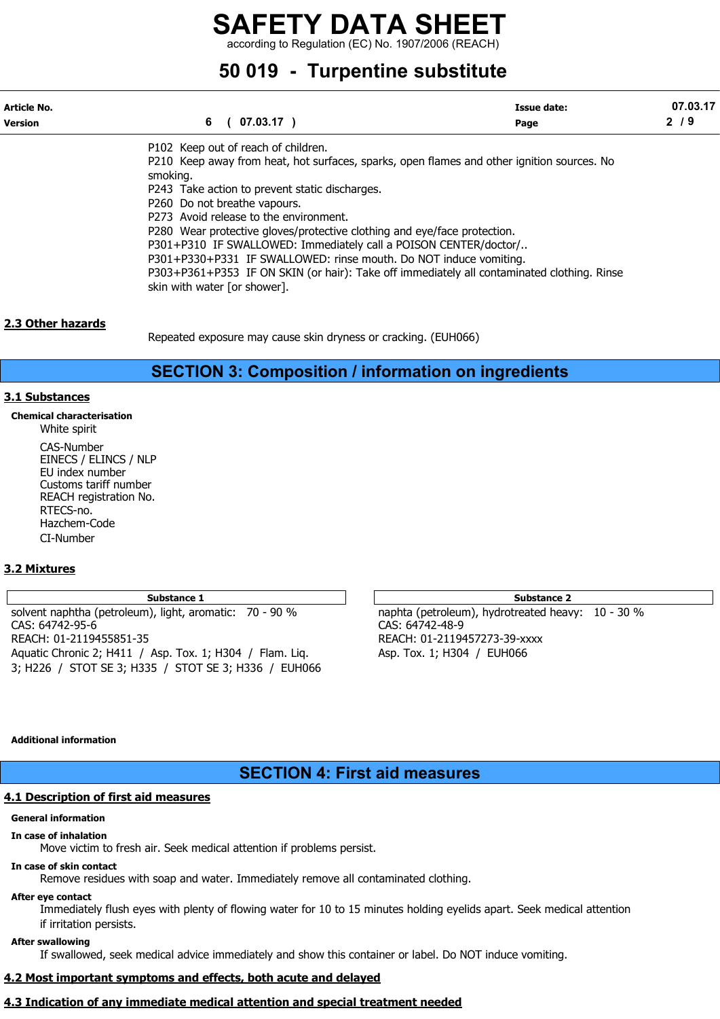according to Regulation (EC) No. 1907/2006 (REACH)

## 50 019 - Turpentine substitute

| Article No.    |                                                                                                        | <b>Issue date:</b> | 07.03.17 |
|----------------|--------------------------------------------------------------------------------------------------------|--------------------|----------|
| <b>Version</b> | 6<br>$07.03.17$ )                                                                                      | Page               | 2/9      |
|                | P102 Keep out of reach of children.                                                                    |                    |          |
|                | P210 Keep away from heat, hot surfaces, sparks, open flames and other ignition sources. No<br>smoking. |                    |          |
|                | P243 Take action to prevent static discharges.                                                         |                    |          |
|                | P260 Do not breathe vapours.                                                                           |                    |          |
|                | P273 Avoid release to the environment.                                                                 |                    |          |
|                | P280 Wear protective gloves/protective clothing and eye/face protection.                               |                    |          |
|                | P301+P310 IF SWALLOWED: Immediately call a POISON CENTER/doctor/                                       |                    |          |
|                | P301+P330+P331 IF SWALLOWED: rinse mouth. Do NOT induce vomiting.                                      |                    |          |
|                | P303+P361+P353 IF ON SKIN (or hair): Take off immediately all contaminated clothing. Rinse             |                    |          |
|                | skin with water [or shower].                                                                           |                    |          |
|                |                                                                                                        |                    |          |

#### 2.3 Other hazards

Repeated exposure may cause skin dryness or cracking. (EUH066)

### SECTION 3: Composition / information on ingredients

#### 3.1 Substances

Chemical characterisation White spirit

> CAS-Number EINECS / ELINCS / NLP EU index number Customs tariff number REACH registration No. RTECS-no. Hazchem-Code CI-Number

#### 3.2 Mixtures

solvent naphtha (petroleum), light, aromatic: 70 - 90 % naphta (petroleum), hydrotreated heavy: 10 - 30 % CAS: 64742-95-6 CAS: 64742-48-9 REACH: 01-2119455851-35 REACH: 01-2119457273-39-xxxx Aquatic Chronic 2; H411 / Asp. Tox. 1; H304 / Flam. Liq. Asp. Tox. 1; H304 / EUH066 3; H226 / STOT SE 3; H335 / STOT SE 3; H336 / EUH066

Substance 1 and 1 Substance 2 and 1 Substance 2 and 1 Substance 2 and 2 Substance 2

#### Additional information

### SECTION 4: First aid measures

#### 4.1 Description of first aid measures

#### General information

#### In case of inhalation

Move victim to fresh air. Seek medical attention if problems persist.

#### In case of skin contact

Remove residues with soap and water. Immediately remove all contaminated clothing.

#### After eye contact

Immediately flush eyes with plenty of flowing water for 10 to 15 minutes holding eyelids apart. Seek medical attention if irritation persists.

#### After swallowing

If swallowed, seek medical advice immediately and show this container or label. Do NOT induce vomiting.

### 4.2 Most important symptoms and effects, both acute and delayed

## 4.3 Indication of any immediate medical attention and special treatment needed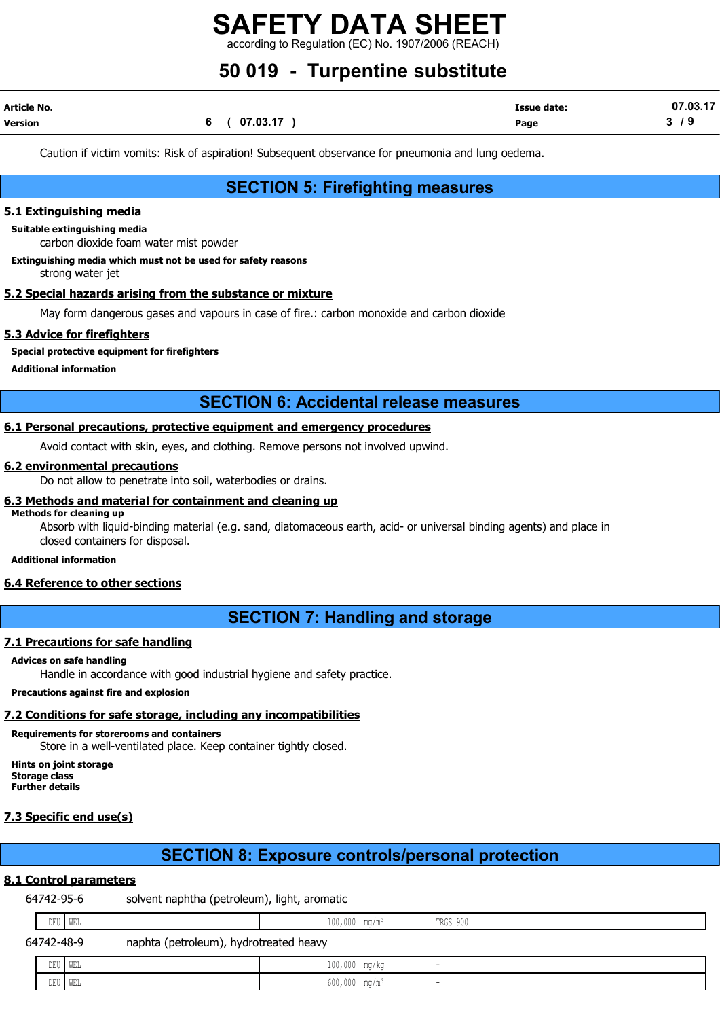ding to Regulation (EC) No. 1907/2006 (REACH)

## 50 019 - Turpentine substitute

| Article No. |              | <b>Issue date:</b> | 07.03.17 |
|-------------|--------------|--------------------|----------|
| Version     | 6 ( 07.03.17 | Page               | 3/9      |

Caution if victim vomits: Risk of aspiration! Subsequent observance for pneumonia and lung oedema.

## SECTION 5: Firefighting measures

#### 5.1 Extinguishing media

Suitable extinguishing media

carbon dioxide foam water mist powder

#### Extinguishing media which must not be used for safety reasons

strong water jet

#### 5.2 Special hazards arising from the substance or mixture

May form dangerous gases and vapours in case of fire.: carbon monoxide and carbon dioxide

#### 5.3 Advice for firefighters

#### Special protective equipment for firefighters

Additional information

### SECTION 6: Accidental release measures

#### 6.1 Personal precautions, protective equipment and emergency procedures

Avoid contact with skin, eyes, and clothing. Remove persons not involved upwind.

#### 6.2 environmental precautions

Do not allow to penetrate into soil, waterbodies or drains.

#### 6.3 Methods and material for containment and cleaning up

#### Methods for cleaning up

Absorb with liquid-binding material (e.g. sand, diatomaceous earth, acid- or universal binding agents) and place in closed containers for disposal.

#### Additional information

#### 6.4 Reference to other sections

### SECTION 7: Handling and storage

#### 7.1 Precautions for safe handling

#### Advices on safe handling

Handle in accordance with good industrial hygiene and safety practice.

#### Precautions against fire and explosion

#### 7.2 Conditions for safe storage, including any incompatibilities

#### Requirements for storerooms and containers Store in a well-ventilated place. Keep container tightly closed.

Hints on joint storage Storage class Further details

### 7.3 Specific end use(s)

## SECTION 8: Exposure controls/personal protection

### 8.1 Control parameters

64742-95-6 solvent naphtha (petroleum), light, aromatic

|            | DEU WEL                                | $100,000$ mq/m <sup>3</sup> | TRGS 900                 |
|------------|----------------------------------------|-----------------------------|--------------------------|
| 64742-48-9 | naphta (petroleum), hydrotreated heavy |                             |                          |
|            | DEU   WEL                              | $100,000$ mg/kg             | $\overline{\phantom{a}}$ |
|            | DEU   WEL                              | $600,000$ mg/m <sup>3</sup> | -                        |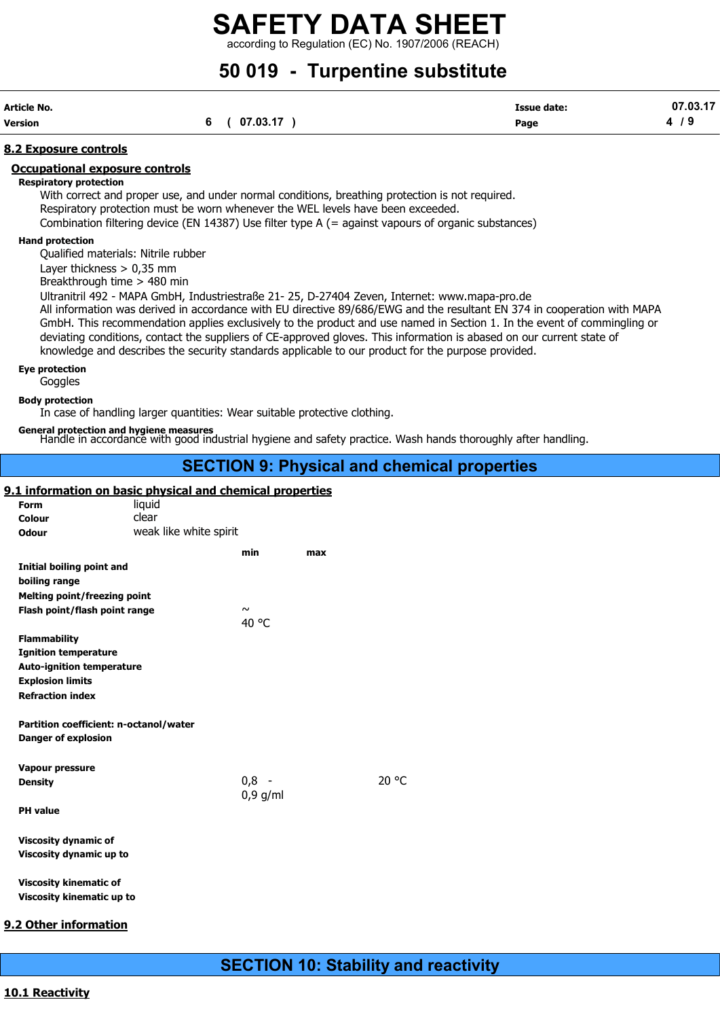according to Regulation (EC) No. 1907/2006 (REACH)

## 50 019 - Turpentine substitute

| Article No. |              | <b>Issue date:</b> | 07.03.17 |
|-------------|--------------|--------------------|----------|
| Version     | 6 ( 07.03.17 | Page               | 4/9      |

#### 8.2 Exposure controls

#### Occupational exposure controls

Respiratory protection

With correct and proper use, and under normal conditions, breathing protection is not required. Respiratory protection must be worn whenever the WEL levels have been exceeded. Combination filtering device (EN 14387) Use filter type A (= against vapours of organic substances)

#### Hand protection

Qualified materials: Nitrile rubber

Layer thickness > 0,35 mm

Breakthrough time > 480 min

Ultranitril 492 - MAPA GmbH, Industriestraße 21- 25, D-27404 Zeven, Internet: www.mapa-pro.de

All information was derived in accordance with EU directive 89/686/EWG and the resultant EN 374 in cooperation with MAPA GmbH. This recommendation applies exclusively to the product and use named in Section 1. In the event of commingling or deviating conditions, contact the suppliers of CE-approved gloves. This information is abased on our current state of knowledge and describes the security standards applicable to our product for the purpose provided.

#### Eye protection

Goggles Body protection

In case of handling larger quantities: Wear suitable protective clothing.

General protection and hygiene measures<br>Handle in accordance with good industrial hygiene and safety practice. Wash hands thoroughly after handling.

#### SECTION 9: Physical and chemical properties

#### 9.1 information on basic physical and chemical properties

| Form                                                       | liquid                 |            |     |       |
|------------------------------------------------------------|------------------------|------------|-----|-------|
| Colour                                                     | clear                  |            |     |       |
| <b>Odour</b>                                               | weak like white spirit |            |     |       |
|                                                            |                        | min        | max |       |
| Initial boiling point and                                  |                        |            |     |       |
| boiling range                                              |                        |            |     |       |
| <b>Melting point/freezing point</b>                        |                        |            |     |       |
|                                                            |                        | $\sim$     |     |       |
| Flash point/flash point range                              |                        | 40 °C      |     |       |
|                                                            |                        |            |     |       |
| <b>Flammability</b>                                        |                        |            |     |       |
| <b>Ignition temperature</b>                                |                        |            |     |       |
| <b>Auto-ignition temperature</b>                           |                        |            |     |       |
| <b>Explosion limits</b>                                    |                        |            |     |       |
| <b>Refraction index</b>                                    |                        |            |     |       |
|                                                            |                        |            |     |       |
| Partition coefficient: n-octanol/water                     |                        |            |     |       |
| <b>Danger of explosion</b>                                 |                        |            |     |       |
|                                                            |                        |            |     |       |
|                                                            |                        |            |     |       |
| Vapour pressure                                            |                        |            |     |       |
| <b>Density</b>                                             |                        | $0,8 -$    |     | 20 °C |
|                                                            |                        | $0,9$ g/ml |     |       |
| <b>PH</b> value                                            |                        |            |     |       |
|                                                            |                        |            |     |       |
| <b>Viscosity dynamic of</b>                                |                        |            |     |       |
| Viscosity dynamic up to                                    |                        |            |     |       |
|                                                            |                        |            |     |       |
| <b>Viscosity kinematic of</b><br>Viscosity kinematic up to |                        |            |     |       |

#### 9.2 Other information

### SECTION 10: Stability and reactivity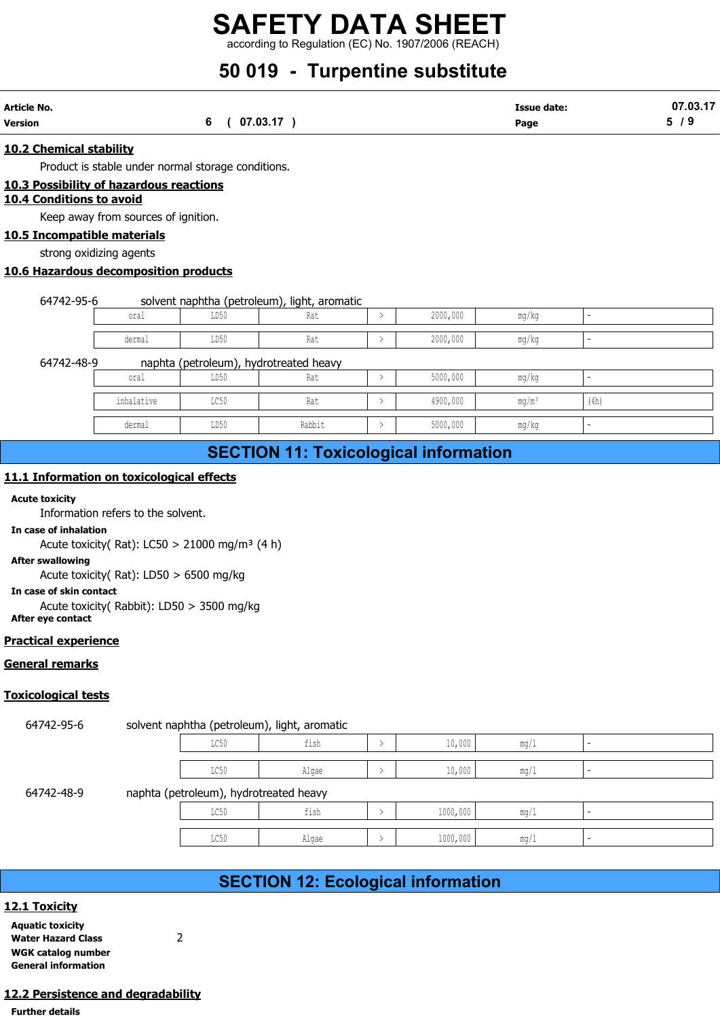## 50 019 - Turpentine substitute

| Article No.    |          | Issue date: | 07.03.17 |
|----------------|----------|-------------|----------|
| <b>Version</b> | 07.03.17 | Page        |          |

#### 10.2 Chemical stability

Product is stable under normal storage conditions.

#### 10.3 Possibility of hazardous reactions

#### 10.4 Conditions to avoid

Keep away from sources of ignition.

#### 10.5 Incompatible materials

strong oxidizing agents

#### 10.6 Hazardous decomposition products

64742-95-6 solvent naphtha (petroleum), light, aromatic

| oral   | --<br>LD50          | __________<br>- הר<br>.na l | 2000,000 | mα<br>770          |  |
|--------|---------------------|-----------------------------|----------|--------------------|--|
| dermal | <b>TD50</b><br>∪∪עע | n.<br>na l                  | 2000,000 | ___<br>ma.<br>77 C |  |

#### 64742-48-9 naphta (petroleum), hydrotreated heavy

|                                         | 6(07.03.17) |                                              |               |          | <b>Issue date:</b><br>Page |      | 07.03.17<br>5/9 |
|-----------------------------------------|-------------|----------------------------------------------|---------------|----------|----------------------------|------|-----------------|
| <u>stability</u>                        |             |                                              |               |          |                            |      |                 |
| stable under normal storage conditions. |             |                                              |               |          |                            |      |                 |
| of hazardous reactions<br>s to avoid    |             |                                              |               |          |                            |      |                 |
| y from sources of ignition.             |             |                                              |               |          |                            |      |                 |
| ble materials                           |             |                                              |               |          |                            |      |                 |
| dizing agents                           |             |                                              |               |          |                            |      |                 |
| decomposition products                  |             |                                              |               |          |                            |      |                 |
|                                         |             |                                              |               |          |                            |      |                 |
|                                         |             |                                              |               |          |                            |      |                 |
| 6                                       |             | solvent naphtha (petroleum), light, aromatic |               |          |                            |      |                 |
| oral                                    | LD50        | Rat                                          | $\,>\,$       | 2000,000 | mg/kg                      |      |                 |
| dermal                                  | LD50        | Rat                                          | $\rightarrow$ | 2000,000 | mg/kg                      |      |                 |
| 9                                       |             | naphta (petroleum), hydrotreated heavy       |               |          |                            |      |                 |
| oral                                    | LD50        | Rat                                          | $\rightarrow$ | 5000,000 | mg/kg                      |      |                 |
| inhalative                              | LC50        | Rat                                          | $\rightarrow$ | 4900,000 | $mq/m^3$                   | (4h) |                 |
| dermal                                  | LD50        | Rabbit                                       | $\rightarrow$ | 5000,000 | mg/kg                      |      |                 |
|                                         |             | <b>SECTION 11: Toxicological information</b> |               |          |                            |      |                 |

## SECTION 11: Toxicological information

#### 11.1 Information on toxicological effects

#### Acute toxicity

#### In case of inhalation

#### After swallowing

In case of skin contact

#### Practical experience

#### General remarks

#### Toxicological tests

|                                                                                                 |                |                                        | <b>PLOTION THE FUNDULUSION INTO HIMMUTH</b>  |               |          |      |                          |
|-------------------------------------------------------------------------------------------------|----------------|----------------------------------------|----------------------------------------------|---------------|----------|------|--------------------------|
| 1.1 Information on toxicological effects                                                        |                |                                        |                                              |               |          |      |                          |
| cute toxicity<br>Information refers to the solvent.                                             |                |                                        |                                              |               |          |      |                          |
| n case of inhalation<br>Acute toxicity(Rat): LC50 > 21000 mg/m <sup>3</sup> (4 h)               |                |                                        |                                              |               |          |      |                          |
| <b>fter swallowing</b>                                                                          |                |                                        |                                              |               |          |      |                          |
| Acute toxicity(Rat): LD50 > 6500 mg/kg                                                          |                |                                        |                                              |               |          |      |                          |
| n case of skin contact<br>Acute toxicity( Rabbit): LD50 > 3500 mg/kg<br><b>fter eye contact</b> |                |                                        |                                              |               |          |      |                          |
| actical experience                                                                              |                |                                        |                                              |               |          |      |                          |
| <u>eneral remarks</u>                                                                           |                |                                        |                                              |               |          |      |                          |
| xicological tests                                                                               |                |                                        |                                              |               |          |      |                          |
| 64742-95-6                                                                                      |                |                                        | solvent naphtha (petroleum), light, aromatic |               |          |      |                          |
|                                                                                                 |                | LC50                                   | fish                                         | $\rightarrow$ | 10,000   | mg/1 | ÷.                       |
|                                                                                                 |                | LC50                                   | Algae                                        | $\rightarrow$ | 10,000   | mg/1 | ÷.                       |
| 64742-48-9                                                                                      |                | naphta (petroleum), hydrotreated heavy |                                              |               |          |      |                          |
|                                                                                                 |                | LC50                                   | fish                                         | $\rightarrow$ | 1000,000 | mg/1 | $\omega$                 |
|                                                                                                 |                | LC50                                   | Algae                                        | $\rightarrow$ | 1000,000 | mg/1 | $\overline{\phantom{a}}$ |
|                                                                                                 |                |                                        |                                              |               |          |      |                          |
|                                                                                                 |                |                                        | <b>SECTION 12: Ecological information</b>    |               |          |      |                          |
| 2.1 Toxicity                                                                                    |                |                                        |                                              |               |          |      |                          |
| <b>quatic toxicity</b><br>Vater Hazard Class                                                    | $\overline{2}$ |                                        |                                              |               |          |      |                          |

## SECTION 12: Ecological information

#### 12.1 Toxicity

| <b>Aquatic toxicity</b>    |   |
|----------------------------|---|
| <b>Water Hazard Class</b>  | 2 |
| WGK catalog number         |   |
| <b>General information</b> |   |

#### 12.2 Persistence and degradability

Further details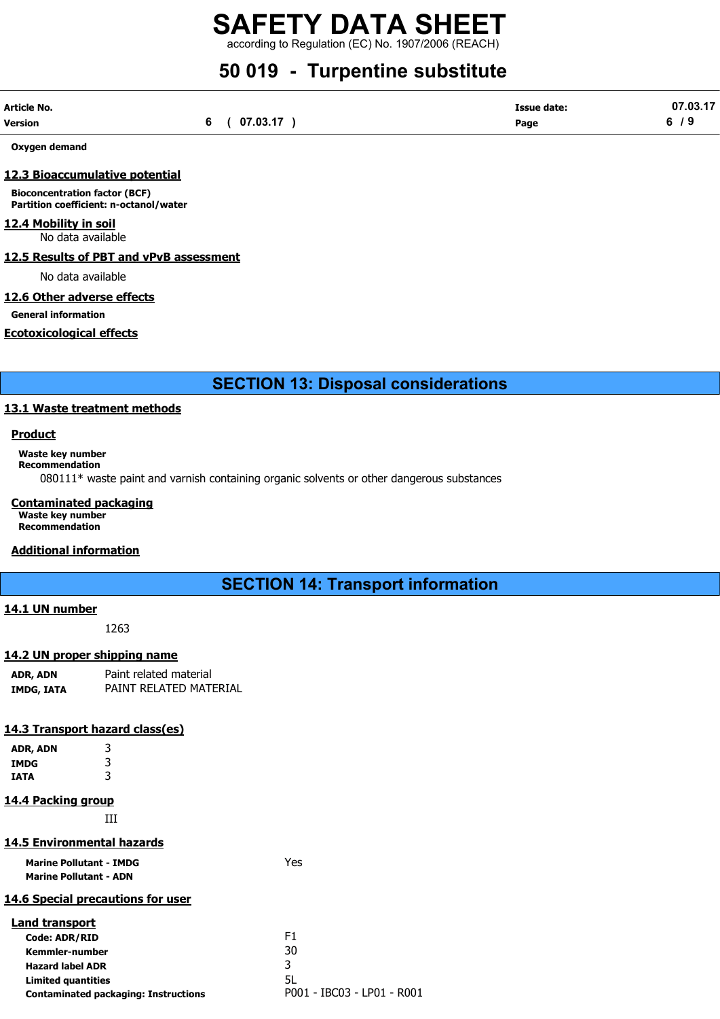according to Regulation (EC) No. 1907/2006 (REACH)

## 50 019 - Turpentine substitute

| Article No. |          | <b>Issue date:</b> | 07.03.17 |
|-------------|----------|--------------------|----------|
| Version     | 07.03.17 | Page               | 6<br>- - |

Oxygen demand

#### 12.3 Bioaccumulative potential

Bioconcentration factor (BCF) Partition coefficient: n-octanol/water

## 12.4 Mobility in soil

No data available

#### 12.5 Results of PBT and vPvB assessment

No data available

#### 12.6 Other adverse effects

General information

#### Ecotoxicological effects

SECTION 13: Disposal considerations

#### 13.1 Waste treatment methods

#### Product

Waste key number

Recommendation

080111\* waste paint and varnish containing organic solvents or other dangerous substances

#### Contaminated packaging

Waste key number Recommendation

#### Additional information

### SECTION 14: Transport information

#### 14.1 UN number

1263

#### 14.2 UN proper shipping name

| ADR, ADN   | Paint related material |  |  |
|------------|------------------------|--|--|
| IMDG, IATA | PAINT RELATED MATERIAL |  |  |

#### 14.3 Transport hazard class(es)

| 3 |
|---|
| 3 |
| 3 |
|   |

#### 14.4 Packing group

III

#### 14.5 Environmental hazards

Marine Pollutant - IMDG **Yes** Marine Pollutant - ADN

## 14.6 Special precautions for user

| <b>Land transport</b>                       |                            |
|---------------------------------------------|----------------------------|
| <b>Code: ADR/RID</b>                        | F1                         |
| Kemmler-number                              | 30                         |
| <b>Hazard label ADR</b>                     | ર                          |
| <b>Limited quantities</b>                   | 5L                         |
| <b>Contaminated packaging: Instructions</b> | P001 - IBC03 - LP01 - R001 |
|                                             |                            |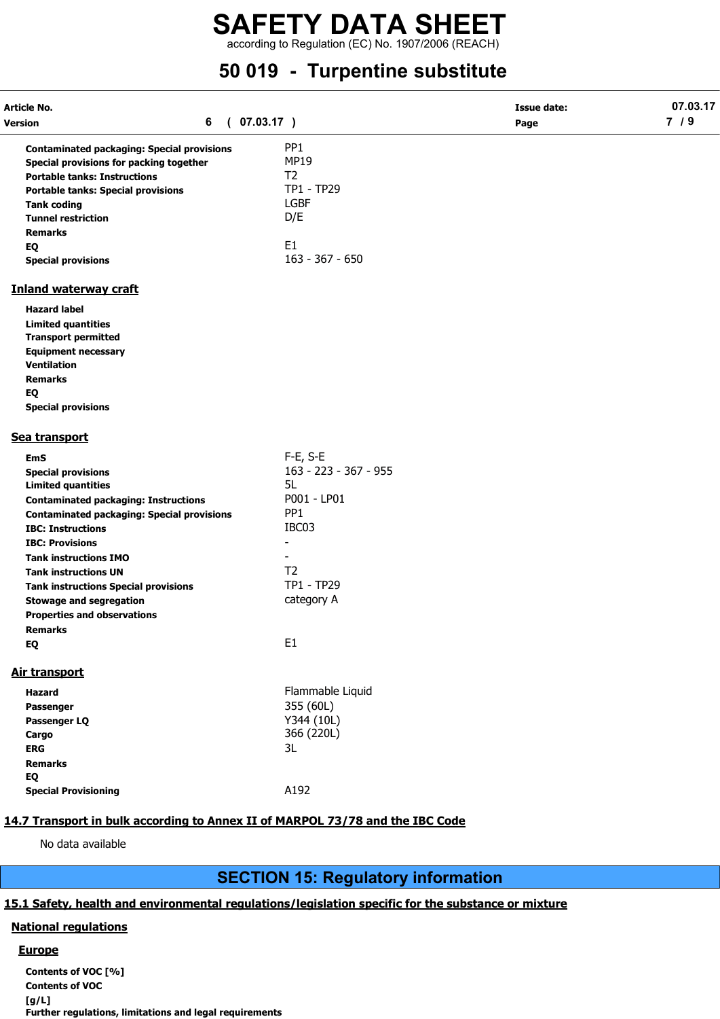according to Regulation (EC) No. 1907/2006 (REACH)

## 50 019 - Turpentine substitute

| Article No.<br>6<br>Version                                                   | (07.03.17)            | <b>Issue date:</b> | 07.03.17<br>7/9 |
|-------------------------------------------------------------------------------|-----------------------|--------------------|-----------------|
|                                                                               |                       | Page               |                 |
| <b>Contaminated packaging: Special provisions</b>                             | PP <sub>1</sub>       |                    |                 |
| Special provisions for packing together                                       | <b>MP19</b>           |                    |                 |
| <b>Portable tanks: Instructions</b>                                           | T <sub>2</sub>        |                    |                 |
| <b>Portable tanks: Special provisions</b>                                     | TP1 - TP29            |                    |                 |
| <b>Tank coding</b>                                                            | <b>LGBF</b>           |                    |                 |
| <b>Tunnel restriction</b>                                                     | D/E                   |                    |                 |
| <b>Remarks</b>                                                                |                       |                    |                 |
| EQ                                                                            | E <sub>1</sub>        |                    |                 |
| <b>Special provisions</b>                                                     | $163 - 367 - 650$     |                    |                 |
| <b>Inland waterway craft</b>                                                  |                       |                    |                 |
| <b>Hazard label</b>                                                           |                       |                    |                 |
| <b>Limited quantities</b>                                                     |                       |                    |                 |
| <b>Transport permitted</b>                                                    |                       |                    |                 |
| <b>Equipment necessary</b>                                                    |                       |                    |                 |
| <b>Ventilation</b>                                                            |                       |                    |                 |
| <b>Remarks</b>                                                                |                       |                    |                 |
| EQ                                                                            |                       |                    |                 |
| <b>Special provisions</b>                                                     |                       |                    |                 |
| Sea transport                                                                 |                       |                    |                 |
| <b>EmS</b>                                                                    | $F-E$ , S-E           |                    |                 |
| <b>Special provisions</b>                                                     | 163 - 223 - 367 - 955 |                    |                 |
| <b>Limited quantities</b>                                                     | 5L                    |                    |                 |
| <b>Contaminated packaging: Instructions</b>                                   | P001 - LP01           |                    |                 |
| <b>Contaminated packaging: Special provisions</b>                             | PP <sub>1</sub>       |                    |                 |
| <b>IBC: Instructions</b>                                                      | IBC03                 |                    |                 |
| <b>IBC: Provisions</b>                                                        |                       |                    |                 |
| <b>Tank instructions IMO</b>                                                  | $\blacksquare$        |                    |                 |
| <b>Tank instructions UN</b>                                                   | T <sub>2</sub>        |                    |                 |
| <b>Tank instructions Special provisions</b>                                   | TP1 - TP29            |                    |                 |
| <b>Stowage and segregation</b>                                                | category A            |                    |                 |
| <b>Properties and observations</b>                                            |                       |                    |                 |
| <b>Remarks</b>                                                                |                       |                    |                 |
| EQ                                                                            | E <sub>1</sub>        |                    |                 |
| <b>Air transport</b>                                                          |                       |                    |                 |
| Hazard                                                                        | Flammable Liquid      |                    |                 |
| Passenger                                                                     | 355 (60L)             |                    |                 |
| Passenger LQ                                                                  | Y344 (10L)            |                    |                 |
| Cargo                                                                         | 366 (220L)            |                    |                 |
| <b>ERG</b>                                                                    | 3L                    |                    |                 |
| <b>Remarks</b>                                                                |                       |                    |                 |
| EQ                                                                            |                       |                    |                 |
| <b>Special Provisioning</b>                                                   | A192                  |                    |                 |
|                                                                               |                       |                    |                 |
| 14.7 Transport in bulk according to Annex II of MARPOL 73/78 and the IBC Code |                       |                    |                 |

#### No data available

## SECTION 15: Regulatory information

#### 15.1 Safety, health and environmental regulations/legislation specific for the substance or mixture

#### National regulations

#### **Europe**

Contents of VOC [%] Contents of VOC [g/L] Further regulations, limitations and legal requirements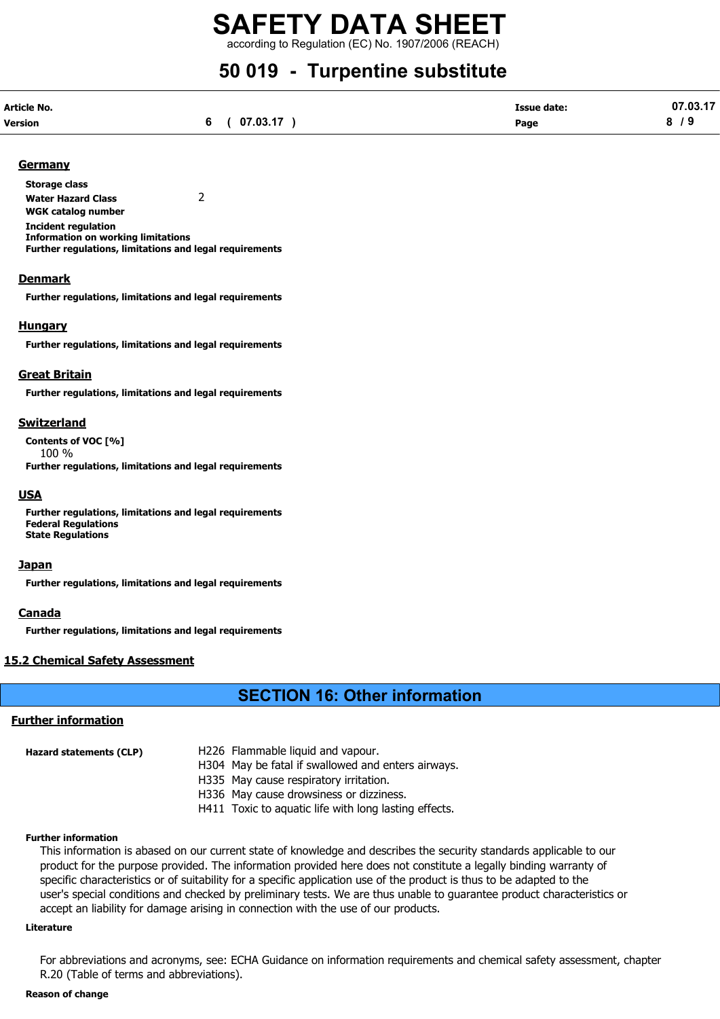## SAFETY DATA SHEET according to Regulation (EC) No. 1907/2006 (REACH)

## 50 019 - Turpentine substitute

| Article No. |              | <b>Issue date:</b> | 07.03.17 |
|-------------|--------------|--------------------|----------|
| Version     | 6 ( 07.03.17 | Page               | 8/9      |

#### **Germany**

Storage class Water Hazard Class 2 WGK catalog number Incident regulation Information on working limitations Further regulations, limitations and legal requirements

#### **Denmark**

Further regulations, limitations and legal requirements

#### **Hungary**

Further regulations, limitations and legal requirements

#### Great Britain

Further regulations, limitations and legal requirements

#### Switzerland

Contents of VOC [%] 100 % Further regulations, limitations and legal requirements

#### **USA**

Further regulations, limitations and legal requirements Federal Regulations State Regulations

#### **Japan**

Further regulations, limitations and legal requirements

#### **Canada**

Further regulations, limitations and legal requirements

#### 15.2 Chemical Safety Assessment

### SECTION 16: Other information

#### Further information

| Hazard statements (CLP) | H226 Flammable liquid and vapour.                  |  |
|-------------------------|----------------------------------------------------|--|
|                         | H304 May be fatal if swallowed and enters airways. |  |
|                         | H335 May cause respiratory irritation.             |  |

H336 May cause drowsiness or dizziness.

H411 Toxic to aquatic life with long lasting effects.

#### Further information

This information is abased on our current state of knowledge and describes the security standards applicable to our product for the purpose provided. The information provided here does not constitute a legally binding warranty of specific characteristics or of suitability for a specific application use of the product is thus to be adapted to the user's special conditions and checked by preliminary tests. We are thus unable to guarantee product characteristics or accept an liability for damage arising in connection with the use of our products.

#### Literature

For abbreviations and acronyms, see: ECHA Guidance on information requirements and chemical safety assessment, chapter R.20 (Table of terms and abbreviations).

#### Reason of change